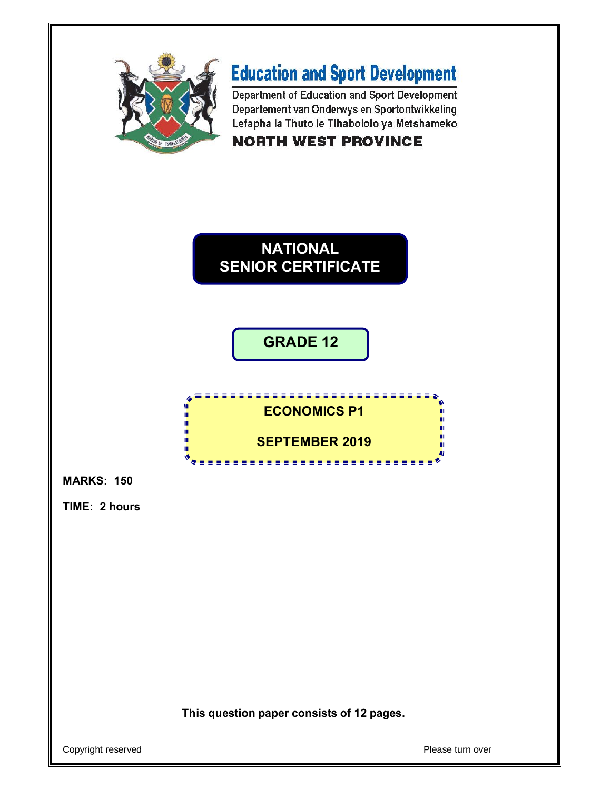

## **Education and Sport Development**

Department of Education and Sport Development Departement van Onderwys en Sportontwikkeling Lefapha la Thuto le Tihabololo ya Metshameko **NORTH WEST PROVINCE** 



**GRADE 12**



**MARKS: 150**

**TIME: 2 hours** 

**This question paper consists of 12 pages.**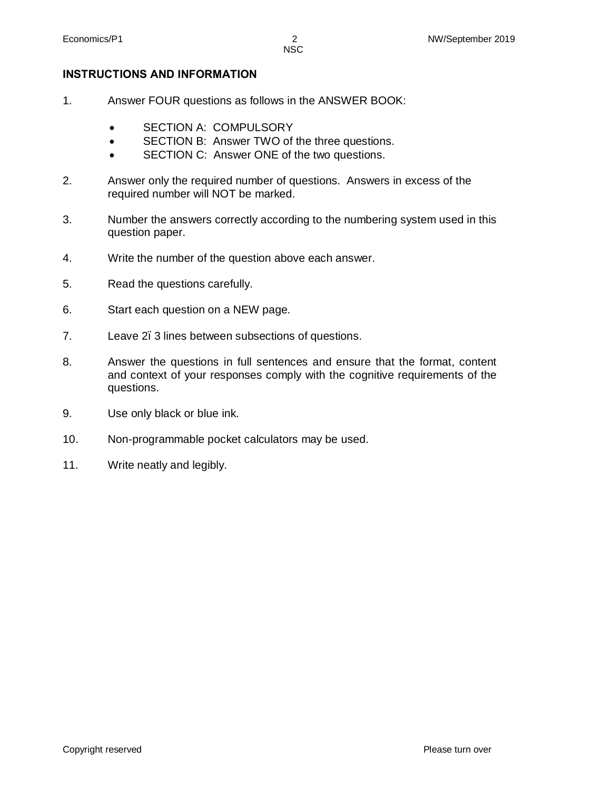#### **INSTRUCTIONS AND INFORMATION**

- 1. Answer FOUR questions as follows in the ANSWER BOOK:
	- · SECTION A: COMPULSORY
	- · SECTION B: Answer TWO of the three questions.
	- · SECTION C: Answer ONE of the two questions.
- 2. Answer only the required number of questions. Answers in excess of the required number will NOT be marked.
- 3. Number the answers correctly according to the numbering system used in this question paper.
- 4. Write the number of the question above each answer.
- 5. Read the questions carefully.
- 6. Start each question on a NEW page.
- 7. Leave 2. 3 lines between subsections of questions.
- 8. Answer the questions in full sentences and ensure that the format, content and context of your responses comply with the cognitive requirements of the questions.
- 9. Use only black or blue ink.
- 10. Non-programmable pocket calculators may be used.
- 11. Write neatly and legibly.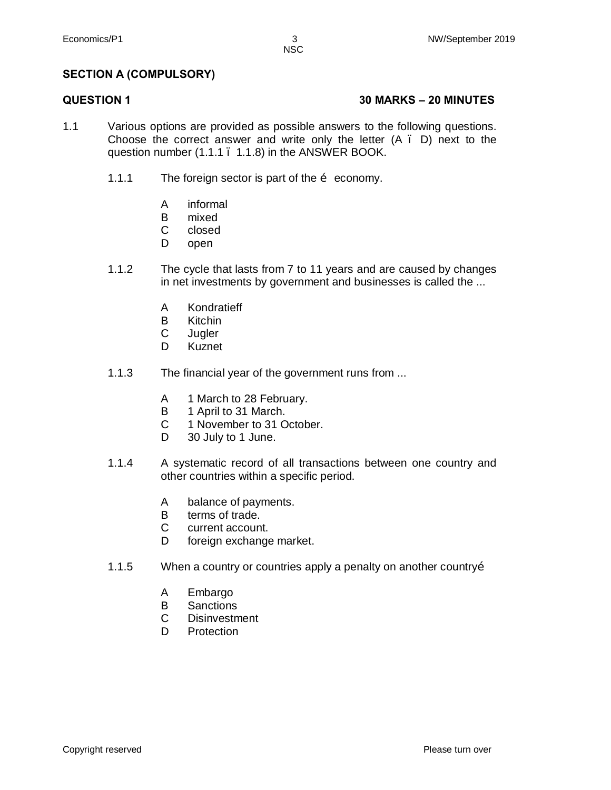#### **SECTION A (COMPULSORY)**

#### **QUESTION 1 30 MARKS – 20 MINUTES**

- 1.1 Various options are provided as possible answers to the following questions. Choose the correct answer and write only the letter  $(A \cdot D)$  next to the question number (1.1.1 . 1.1.8) in the ANSWER BOOK.
	- 1.1.1 The foreign sector is part of the  $\ddot{\text{o}}$  economy.
		- A informal
		- B mixed
		- C closed
		- D open
	- 1.1.2 The cycle that lasts from 7 to 11 years and are caused by changes in net investments by government and businesses is called the ...
		- A Kondratieff
		- B Kitchin
		- C Jugler
		- D Kuznet
	- 1.1.3 The financial year of the government runs from ...
		- A 1 March to 28 February.
		- B 1 April to 31 March.
		- C 1 November to 31 October.
		- D. 30 July to 1 June.
	- 1.1.4 A systematic record of all transactions between one country and other countries within a specific period.
		- A balance of payments.
		- B terms of trade.
		- C current account.
		- D foreign exchange market.
	- 1.1.5 When a country or countries apply a penalty on another country…
		- A Embargo
		- B **Sanctions**
		- C **Disinvestment**
		- D. **Protection**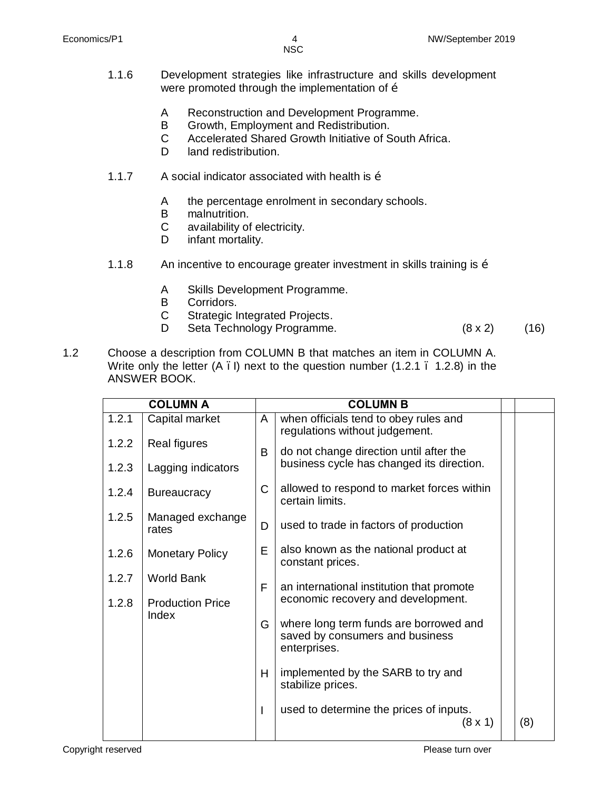- NSC
- 1.1.6 Development strategies like infrastructure and skills development were promoted through the implementation of  $\ddot{\text{o}}$ 
	- A Reconstruction and Development Programme.
	- B Growth, Employment and Redistribution.
	- C Accelerated Shared Growth Initiative of South Africa.
	- D. land redistribution.
- 1.1.7 A social indicator associated with health is  $\ddot{\text{o}}$ 
	- A the percentage enrolment in secondary schools.
	- B malnutrition.
	- C availability of electricity.
	- D infant mortality.
- 1.1.8 An incentive to encourage greater investment in skills training is  $\ddot{\text{o}}$ 
	- A Skills Development Programme.
	- B Corridors.
	- C Strategic Integrated Projects.
	- D Seta Technology Programme. (8 x 2) (16)
- 1.2 Choose a description from COLUMN B that matches an item in COLUMN A. Write only the letter  $(A \cdot I)$  next to the question number  $(1.2.1 \cdot 1.2.8)$  in the ANSWER BOOK.

| <b>COLUMN A</b> |                                              |              | <b>COLUMN B</b>                                                                           |     |
|-----------------|----------------------------------------------|--------------|-------------------------------------------------------------------------------------------|-----|
| 1.2.1           | Capital market                               | A            | when officials tend to obey rules and<br>regulations without judgement.                   |     |
| 1.2.2           | <b>Real figures</b>                          | B            | do not change direction until after the                                                   |     |
| 1.2.3           | Lagging indicators                           |              | business cycle has changed its direction.                                                 |     |
| 1.2.4           | <b>Bureaucracy</b>                           | $\mathsf{C}$ | allowed to respond to market forces within<br>certain limits.                             |     |
| 1.2.5           | Managed exchange<br>rates                    | D            | used to trade in factors of production                                                    |     |
| 1.2.6           | <b>Monetary Policy</b>                       | E            | also known as the national product at<br>constant prices.                                 |     |
| 1.2.7<br>1.2.8  | <b>World Bank</b><br><b>Production Price</b> | F            | an international institution that promote<br>economic recovery and development.           |     |
|                 | Index                                        | G            | where long term funds are borrowed and<br>saved by consumers and business<br>enterprises. |     |
|                 |                                              | H            | implemented by the SARB to try and<br>stabilize prices.                                   |     |
|                 |                                              |              | used to determine the prices of inputs.<br>(8 x 1)                                        | (8) |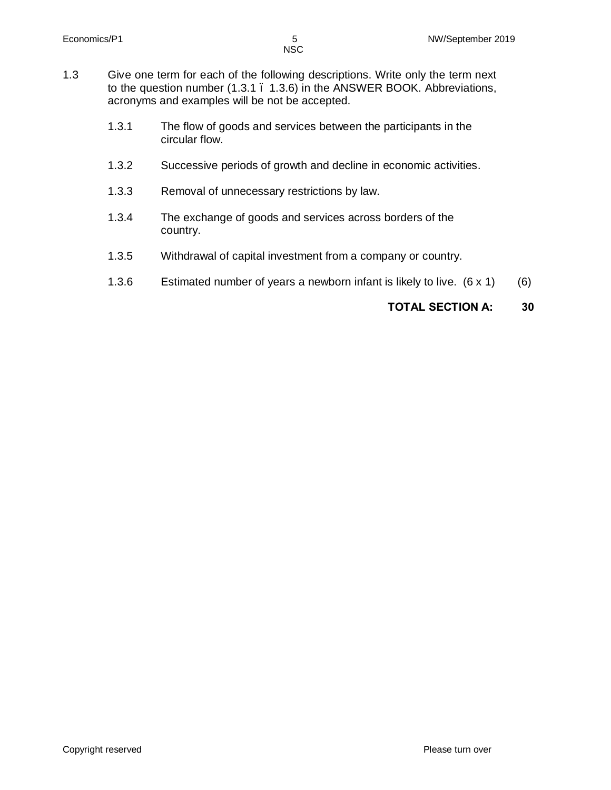- 1.3.1 The flow of goods and services between the participants in the circular flow.
- 1.3.2 Successive periods of growth and decline in economic activities.
- 1.3.3 Removal of unnecessary restrictions by law.
- 1.3.4 The exchange of goods and services across borders of the country.
- 1.3.5 Withdrawal of capital investment from a company or country.
- 1.3.6 Estimated number of years a newborn infant is likely to live. (6 x 1) (6)

#### **TOTAL SECTION A: 30**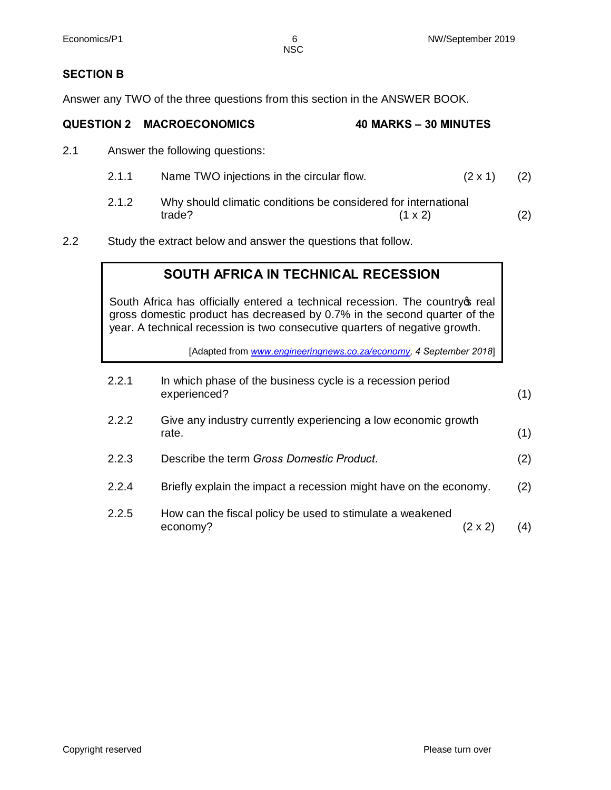#### **SECTION B**

Answer any TWO of the three questions from this section in the ANSWER BOOK.

# **QUESTION 2 MACROECONOMICS 40 MARKS – 30 MINUTES**

2.1 Answer the following questions:

| 2.1.1 | Name TWO injections in the circular flow. | $(2 \times 1)$ (2) |  |
|-------|-------------------------------------------|--------------------|--|
|       |                                           |                    |  |

- 2.1.2 Why should climatic conditions be considered for international trade? (1 x 2) (2)
- 2.2 Study the extract below and answer the questions that follow.

### **SOUTH AFRICA IN TECHNICAL RECESSION**

South Africa has officially entered a technical recession. The country of real gross domestic product has decreased by 0.7% in the second quarter of the year. A technical recession is two consecutive quarters of negative growth.

[Adapted from *www.engineeringnews.co.za/economy, 4 September 2018*]

| 2.2.1 | In which phase of the business cycle is a recession period<br>experienced? |         | (1) |
|-------|----------------------------------------------------------------------------|---------|-----|
| 2.2.2 | Give any industry currently experiencing a low economic growth<br>rate.    |         | (1) |
| 2.2.3 | Describe the term Gross Domestic Product.                                  |         | (2) |
| 2.2.4 | Briefly explain the impact a recession might have on the economy.          |         | (2) |
| 2.2.5 | How can the fiscal policy be used to stimulate a weakened<br>economy?      | (2 x 2) | (4) |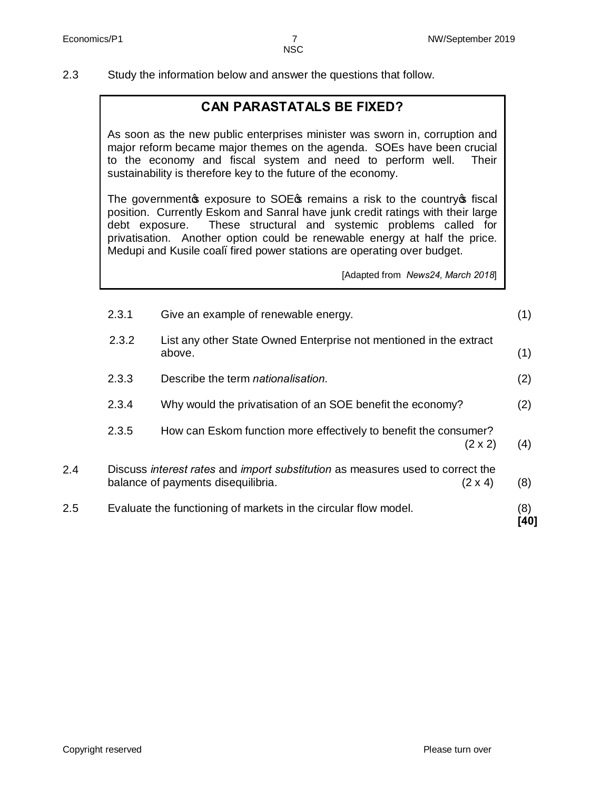2.3 Study the information below and answer the questions that follow.

#### **CAN PARASTATALS BE FIXED?**

As soon as the new public enterprises minister was sworn in, corruption and major reform became major themes on the agenda. SOEs have been crucial to the economy and fiscal system and need to perform well. Their sustainability is therefore key to the future of the economy.

The government is exposure to SOE is remains a risk to the country is fiscal position. Currently Eskom and Sanral have junk credit ratings with their large debt exposure. These structural and systemic problems called for privatisation. Another option could be renewable energy at half the price. Medupi and Kusile coal. fired power stations are operating over budget.

[Adapted from *News24, March 2018*]

|     | 2.3.1 | Give an example of renewable energy.                                                                                 |                | (1)         |
|-----|-------|----------------------------------------------------------------------------------------------------------------------|----------------|-------------|
|     | 2.3.2 | List any other State Owned Enterprise not mentioned in the extract<br>above.                                         |                | (1)         |
|     | 2.3.3 | Describe the term nationalisation.                                                                                   |                | (2)         |
|     | 2.3.4 | Why would the privatisation of an SOE benefit the economy?                                                           |                | (2)         |
|     | 2.3.5 | How can Eskom function more effectively to benefit the consumer?                                                     | $(2 \times 2)$ | (4)         |
| 2.4 |       | Discuss interest rates and import substitution as measures used to correct the<br>balance of payments disequilibria. | $(2 \times 4)$ | (8)         |
| 2.5 |       | Evaluate the functioning of markets in the circular flow model.                                                      |                | (8)<br>[40] |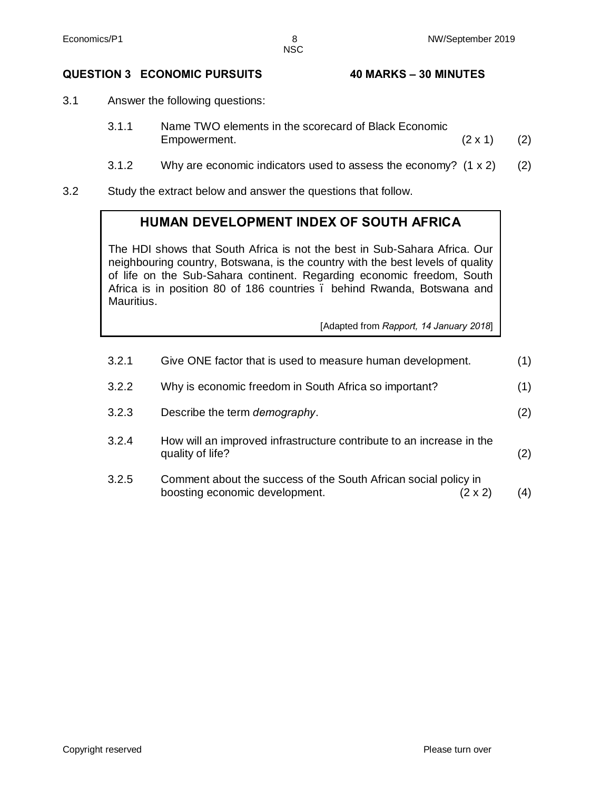#### **QUESTION 3 ECONOMIC PURSUITS 40 MARKS – 30 MINUTES**

- 3.1 Answer the following questions:
	- 3.1.1 Name TWO elements in the scorecard of Black Economic Empowerment.  $(2 \times 1)$  (2)
	- 3.1.2 Why are economic indicators used to assess the economy? (1 x 2) (2)
- 3.2 Study the extract below and answer the questions that follow.

#### **HUMAN DEVELOPMENT INDEX OF SOUTH AFRICA**

The HDI shows that South Africa is not the best in Sub-Sahara Africa. Our neighbouring country, Botswana, is the country with the best levels of quality of life on the Sub-Sahara continent. Regarding economic freedom, South Africa is in position 80 of 186 countries . behind Rwanda, Botswana and Mauritius.

[Adapted from *Rapport, 14 January 2018*]

| 3.2.1 | Give ONE factor that is used to measure human development.                                                   | (1) |
|-------|--------------------------------------------------------------------------------------------------------------|-----|
| 3.2.2 | Why is economic freedom in South Africa so important?                                                        | (1) |
| 3.2.3 | Describe the term <i>demography</i> .                                                                        | (2) |
| 3.2.4 | How will an improved infrastructure contribute to an increase in the<br>quality of life?                     | (2) |
| 3.2.5 | Comment about the success of the South African social policy in<br>boosting economic development.<br>(2 x 2) | (4) |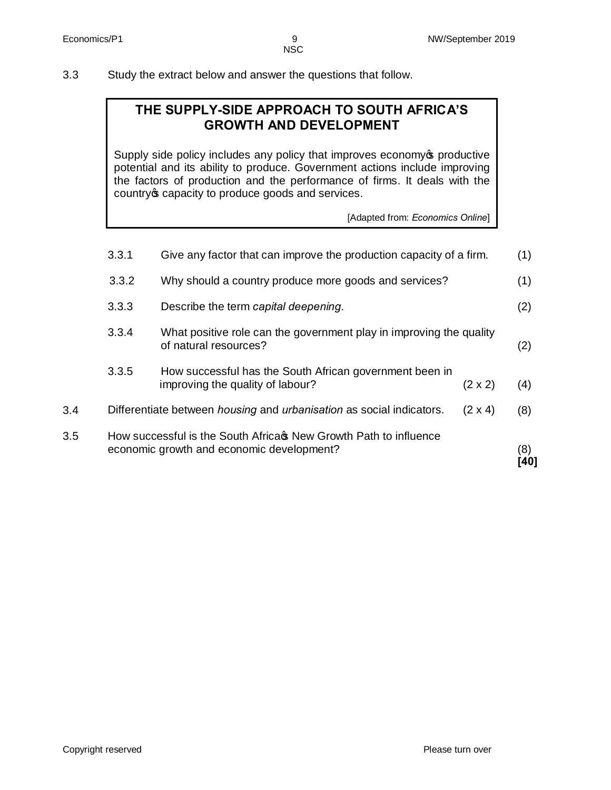#### 3.3 Study the extract below and answer the questions that follow.

### **THE SUPPLY-SIDE APPROACH TO SOUTH AFRICA'S GROWTH AND DEVELOPMENT**

Supply side policy includes any policy that improves economy oproductive potential and its ability to produce. Government actions include improving the factors of production and the performance of firms. It deals with the country of capacity to produce goods and services.

[Adapted from: *Economics Online*]

| 3.5 |       | How successful is the South Africas New Growth Path to influence<br>economic growth and economic development? |                | (8)<br>[40] |
|-----|-------|---------------------------------------------------------------------------------------------------------------|----------------|-------------|
| 3.4 |       | Differentiate between housing and urbanisation as social indicators.                                          | $(2 \times 4)$ | (8)         |
|     | 3.3.5 | How successful has the South African government been in<br>improving the quality of labour?                   | $(2 \times 2)$ | (4)         |
|     | 3.3.4 | What positive role can the government play in improving the quality<br>of natural resources?                  |                | (2)         |
|     | 3.3.3 | Describe the term capital deepening.                                                                          |                | (2)         |
|     | 3.3.2 | Why should a country produce more goods and services?                                                         |                | (1)         |
|     | 3.3.1 | Give any factor that can improve the production capacity of a firm.                                           |                | (1)         |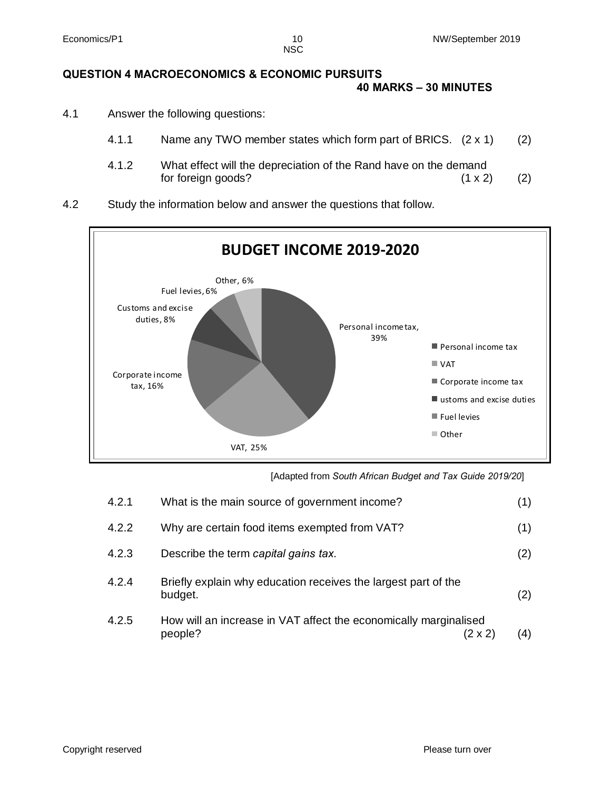### **QUESTION 4 MACROECONOMICS & ECONOMIC PURSUITS**

#### **40 MARKS – 30 MINUTES**

- 4.1 Answer the following questions:
	- 4.1.1 Name any TWO member states which form part of BRICS. (2 x 1) (2)
	- 4.1.2 What effect will the depreciation of the Rand have on the demand for foreign goods?  $(1 \times 2)$  (2)
- 4.2 Study the information below and answer the questions that follow.



[Adapted from *South African Budget and Tax Guide 2019/20*]

| 4.2.1 | What is the main source of government income?                               |         | (1) |
|-------|-----------------------------------------------------------------------------|---------|-----|
| 4.2.2 | Why are certain food items exempted from VAT?                               |         | (1) |
| 4.2.3 | Describe the term capital gains tax.                                        |         | (2) |
| 4.2.4 | Briefly explain why education receives the largest part of the<br>budget.   |         | (2) |
| 4.2.5 | How will an increase in VAT affect the economically marginalised<br>people? | (2 x 2) | (4) |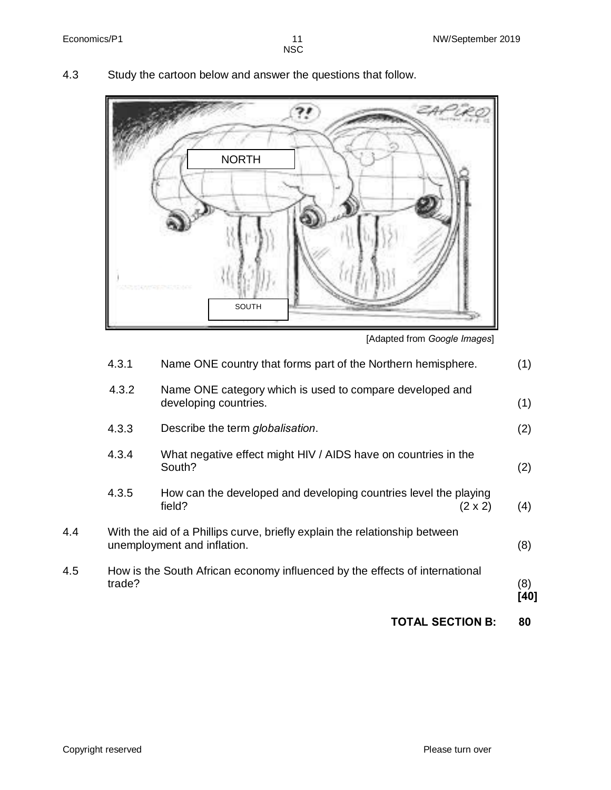4.3 Study the cartoon below and answer the questions that follow.



[Adapted from *Google Images*]

|     |        | <b>TOTAL SECTION B:</b>                                                                                   |                | 80          |
|-----|--------|-----------------------------------------------------------------------------------------------------------|----------------|-------------|
| 4.5 | trade? | How is the South African economy influenced by the effects of international                               |                | (8)<br>[40] |
| 4.4 |        | With the aid of a Phillips curve, briefly explain the relationship between<br>unemployment and inflation. |                | (8)         |
|     | 4.3.5  | How can the developed and developing countries level the playing<br>field?                                | $(2 \times 2)$ | (4)         |
|     | 4.3.4  | What negative effect might HIV / AIDS have on countries in the<br>South?                                  |                | (2)         |
|     | 4.3.3  | Describe the term globalisation.                                                                          |                | (2)         |
|     | 4.3.2  | Name ONE category which is used to compare developed and<br>developing countries.                         |                | (1)         |
|     | 4.3.1  | Name ONE country that forms part of the Northern hemisphere.                                              |                | (1)         |